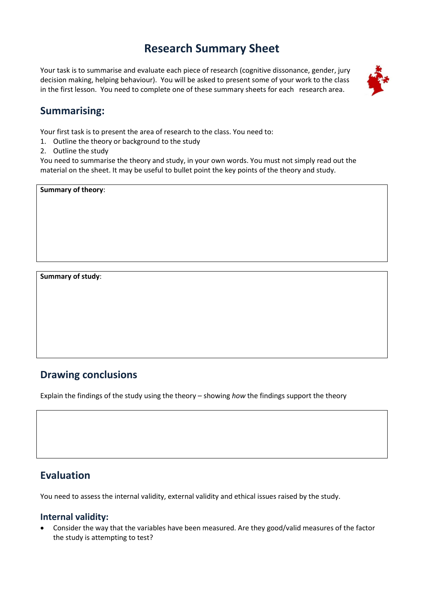# **Research Summary Sheet**

Your task is to summarise and evaluate each piece of research (cognitive dissonance, gender, jury decision making, helping behaviour). You will be asked to present some of your work to the class in the first lesson. You need to complete one of these summary sheets for each research area.



## **Summarising:**

Your first task is to present the area of research to the class. You need to:

- 1. Outline the theory or background to the study
- 2. Outline the study

You need to summarise the theory and study, in your own words. You must not simply read out the material on the sheet. It may be useful to bullet point the key points of the theory and study.

**Summary of theory**:

**Summary of study**:

## **Drawing conclusions**

Explain the findings of the study using the theory – showing *how* the findings support the theory

## **Evaluation**

You need to assess the internal validity, external validity and ethical issues raised by the study.

#### **Internal validity:**

 Consider the way that the variables have been measured. Are they good/valid measures of the factor the study is attempting to test?